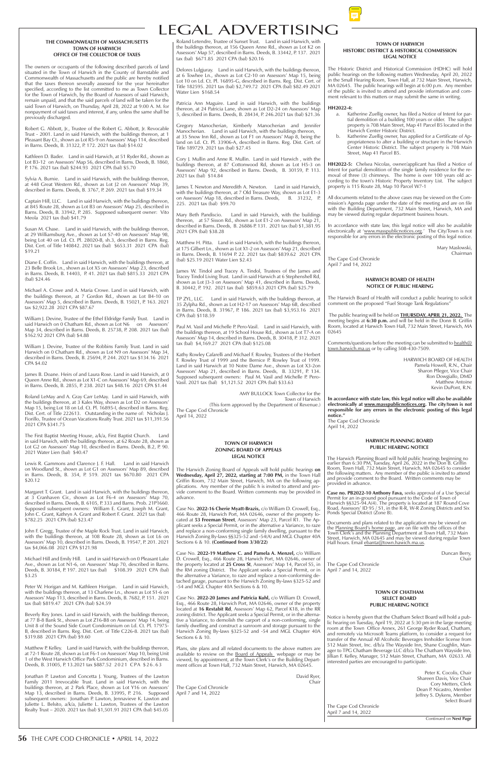# LEGAL ADVERTISING

# **TOWN OF HARWICH ZONING BOARD OF APPEALS LEGAL NOTICE**

The Harwich Zoning Board of Appeals will hold public hearings **on Wednesday, April 27, 2022, starting at 7:00 PM,** in the Town Hall Griffin Room, 732 Main Street, Harwich, MA on the following applications. Any member of the public h is invited to attend and provide comment to the Board. Written comments may be provided in advance.

Case No. **2022-16 Cherie Myatt-Brazis,** c/o William D. Crowell, Esq., 466 Route 28, Harwich Port, MA 02646, owner of the property located at **53 Freeman Street**, Assessors' Map 23, Parcel R1. The Applicant seeks a Special Permit, or in the alternative a Variance, to raze and replace a non-conforming single family dwelling, pursuant to the Harwich Zoning By-laws §§325-52 and -54(A) and MGL Chapter 40A Sections 6 & 10. **(Continued from 3/30/22)**

Case No. **2022-19 Matthew C. and Pamela A. Menzel,** c/o William

In accordance with state law, this legal notice will also be available electronically at 'www.masspublicnotices.org.' The City/Town is not responsible for any errors in the electronic posting of this legal notice.

Documents and plans related to the application may be viewed on the Planning Board's home page, are on file with the offices of the Town Clerk's and the Planning Department at Town Hall, 732 Main Street, Harwich, MA 02645 and may be viewed during regular Town Hall hours. Email ebanta@town.hawich.ma.us.

#### **TOWN OF HARWICH HISTORIC DISTRICT & HISTORICAL COMMISSION LEGAL NOTICE**

The Historic District and Historical Commission (HDHC) will hold public hearings on the following matters Wednesday, April 20, 2022 in the Small Hearing Room, Town Hall, at 732 Main Street, Harwich, MA 02645. The public hearings will begin at 6:00 p.m. Any member of the public is invited to attend and provide information and comment relevant to this matters or may submit the same in writing.

# **HH2022-4:**

- a. Katherine Zuellig owner, has filed a Notice of Intent for partial demolition of a building 100 years or older. The subject property is 708 Main Street, Map 41 Parcel B5 located in the Harwich Center Historic District.
- Katherine Zuellig owner, has applied for a Certificate of Appropriateness to alter a building or structure in the Harwich Center Historic District. The subject property is 708 Main Street, Map 41 Parcel B5.

Robert G. Abbott, Jr., Trustee of the Robert G. Abbott, Jr. Revocable Trust - 2001. Land in said Harwich, with the buildings thereon, at 1 Pleasant Bay Ct., shown as Lot R5-9 on Assessors' Map 114, described in Barns. Deeds, B. 31322, P. 172. 2021 tax (bal) \$14.02

> **HH2022-5:** Chelsea Nicolas, owner/applicant has filed a Notice of Intent for partial demolition of the single family residence for the removal of three (3) chimneys. The home is over 100 years old according to the town's Historic Property Inventory List. The subject property is 115 Route 28, Map 10 Parcel W7-1

> All documents related to the above cases may be viewed on the Commission's Agenda page under the date of the meeting and are on file with the Building Department, 732 Main Street, Harwich, MA and may be viewed during regular department business hours.

> > Mary Maslowski, Chairman

The Cape Cod Chronicle April 7 and 14, 2022

#### **HARWICH PLANNING BOARD PUBLIC HEARING NOTICE**

The Harwich Planning Board will hold public hearings beginning no earlier than 6:30 PM, Tuesday, April 26, 2022 in the Don B. Griffin Room, Town Hall, 732 Main Street, Harwich, MA 02645 to consider the following matters. Any member of the public is invited to attend and provide comment to the Board. Written comments may be provided in advance.

**Case no. PB2022-10 Anthony Fava,** seeks approval of a Use Special Permit for an in-ground pool pursuant to the Code of Town of Harwich §§325-94.A(4). The property is located at 187 Round Cove Road, Assessors' ID 95 / S1, in the R-R, W-R Zoning Districts and Six Ponds Special District (Zone B).

# **HARWICH BOARD OF HEALTH NOTICE OF PUBLIC HEARING**

The Harwich Board of Health will conduct a public hearing to solicit comment on the proposed "Fuel Storage Tank Regulations"

 The public hearing will be held on **THURSDAY, APRIL 21, 2022.** The meeting begins at **6:30 p.m.** and will be held in the Donn B. Griffin Room, located at Harwich Town Hall, 732 Main Street, Harwich, MA 02645

Comments/questions before the meeting can be submitted to health@ town.harwich.ma.us or by calling 508-430-7509.

| Michael Hill and Emily Hill. Land in said Harwich on 0 Pleasant Lake    | D. Crowell, Esq., 466 Route 28, Harwich Port, MA 02646, owner of          | Chair                                                                  |
|-------------------------------------------------------------------------|---------------------------------------------------------------------------|------------------------------------------------------------------------|
| Ave., shown as Lot N1-6, on Assessors' Map 70, described in Barns.      | the property located at 25 Cross St, Assessors' Map 14, Parcel S5, in     | The Cape Cod Chronicle                                                 |
| Deeds, B. 30184, P. 197. 2021 tax (bal) \$108.39 2021 CPA (bal)         | the RM zoning District. The Applicant seeks a Special Permit, or in       | April 7 and 14, 2022                                                   |
| \$3.25                                                                  | the alternative a Variance, to raze and replace a non-conforming de-      |                                                                        |
|                                                                         | tached garage, pursuant to the Harwich Zoning By-laws §325-52 and         |                                                                        |
| Peter W. Horigan and M. Kathleen Horigan. Land in said Harwich,         | -54 and MGL Chapter 40A Sections 6 & 10.                                  |                                                                        |
| with the buildings thereon, at 13 Charlene Ln., shown as Lot S1-6 on    |                                                                           | <b>TOWN OF CHATHAM</b>                                                 |
| Assessors' Map 113, described in Barns. Deeds, B. 7682, P. 151. 2021    | Case No. 2022-20 James and Patricia Kuhl, c/o William D. Crowell,         |                                                                        |
|                                                                         |                                                                           | <b>SELECT BOARD</b>                                                    |
| tax (bal) \$819.47 2021 CPA (bal) \$24.59                               | Esq., 466 Route 28, Harwich Port, MA 02646, owner of the property         | <b>PUBLIC HEARING NOTICE</b>                                           |
|                                                                         | located at 16 Restabit Rd, Assessors' Map 62, Parcel K18, in the RR       |                                                                        |
| Beverly Rey Jones. Land in said Harwich, with the buildings thereon,    | zoning district. The Applicant seeks a Special Permit, or in the alterna- | Notice is hereby given that the Chatham Select Board will hold a pub-  |
| at 77 B-8 Bank St., shown as Lot Z16-B8 on Assessors' Map 14, being     | tive a Variance, to demolish the carport of a non-conforming, single      | lic hearing on Tuesday, April 19, 2022 at 5:30 pm in the large meeting |
| Unit 8 of the Sound Side Court Condominium on Ld. Ct. Pl. 17975-        | family dwelling and construct a sunroom and storage pursuant to the       | room at the Town Office Annex, 261 George Ryder Road, Chatham,         |
| B, described in Barns. Reg. Dist. Cert. of Title C226-8. 2021 tax (bal) | Harwich Zoning By-laws §325-52 and -54 and MGL Chapter 40A                | and remotely via Microsoft Teams platform, to consider a request for   |
| \$319.88 2021 CPA (bal) \$9.60                                          | Sections 6 & 10.                                                          | transfer of the Annual All Alcoholic Beverages Innholder license from  |
|                                                                         |                                                                           | 512 Main Street, Inc. d/b/a The Wayside Inn, Shane Coughlin, Man-      |
| Matthew P. Kelley. Land in said Harwich, with the buildings thereon,    | Plans, site plans and all related documents to the above matters are      |                                                                        |
| at 72-1 Route 28, shown as Lot F6-1 on Assessors' Map 10, being Unit    | available to review on the Board of Appeals webpage or may be             | ager to TPG Chatham Beverage LLC d/b/a The Chatham Wayside Inn,        |
| 1 of the West Harwich Office Park Condominium, described in Barns.      | viewed, by appointment, at the Town Clerk's or the Building Depart-       | Jillian F. Kelley, Manager, 512 Main Street, Chatham, MA 02633. All    |
| Deeds, B. 31005, P. 13.2021 tax \$887.52 2021 CPA \$26.63               | ment offices at Town Hall, 732 Main Street, Harwich, MA 02645.            | interested parties are encouraged to participate.                      |
|                                                                         |                                                                           |                                                                        |
| Jonathan P. Lawton and Concetta J. Young, Trustees of the Lawton        | David Ryer,                                                               | Peter K. Cocolis, Chair                                                |
| Family 2011 Irrevocable Trust. Land in said Harwich, with the           | Chair                                                                     | Shareen Davis, Vice Chair                                              |
|                                                                         |                                                                           | Cory Metters, Clerk                                                    |
| buildings thereon, at 2 Park Place, shown as Lot Y16 on Assessors'      | The Cape Cod Chronicle                                                    | Dean P. Nicastro, Member                                               |
| Map 13, described in Barns. Deeds, B. 33995, P. 216. Supposed           | April 7 and 14, 2022                                                      | Jeffrey S. Dykens, Member                                              |
| subsequent owners: Jonathan P. Lawton, Jennavieve K. Lawton and         |                                                                           | Select Board                                                           |
| Juliette L. Belsito, a/k/a, Juliette L. Lawton, Trustees of the Lawton  |                                                                           | The Cape Cod Chronicle                                                 |
| Realty Trust - 2020. 2021 tax (bal) \$1,501.91 2021 CPA (bal) \$45.05   |                                                                           | April 7 and 14, 2022                                                   |
|                                                                         |                                                                           | Continued on Next Page                                                 |
|                                                                         |                                                                           |                                                                        |
|                                                                         |                                                                           |                                                                        |

HARWICH BOARD OF HEALTH Pamela Howell, R.N., Chair Sharon Pfleger, Vice Chair Ron Dowgiallo, DMD Matthew Antoine Kevin DuPont, R.N.

**In accordance with state law, this legal notice will also be available electronically at www.masspublicnotices.org. The city/town is not responsible for any errors in the electronic posting of this legal notice."**

The Cape Cod Chronicle April 14, 2022

#### **THE COMMONWEALTH OF MASSACHUSETTS TOWN OF HARWICH OFFICE OF THE COLLECTOR OF TAXES**

The owners or occupants of the following described parcels of land situated in the Town of Harwich in the County of Barnstable and Commonwealth of Massachusetts and the public are hereby notified that the taxes thereon severally assessed for the year hereinafter specified, according to the list committed to me as Town Collector for the Town of Harwich, by the Board of Assessors of said Harwich, remain unpaid, and that the said parcels of land will be taken for the said Town of Harwich, on Thursday, April 28, 2022 at 9:00 A. M. for nonpayment of said taxes and interest, if any, unless the same shall be previously discharged.

Kathleen D. Bader. Land in said Harwich, at 51 Ryder Rd., shown as Lot B3-12 on Assessors' Map 56, described in Barns. Deeds, B. 1860, P. 176. 2021 tax (bal) \$244.93 2021 CPA (bal) \$5.70

Sylvia A. Burnie. Land in said Harwich, with the buildings thereon, at 448 Great Western Rd., shown as Lot J2 on Assessors' Map 39, described in Barns. Deeds, B. 3767, P. 269. 2021 tax (bal) \$19.34

Captain Hill, LLC. Land in said Harwich, with the buildings thereon, at 845 Route 28, shown as Lot B3 on Assessors' Map 25, described in Barns. Deeds, B. 33942, P. 285. Supposed subsequent owner: Vito Meola 2021 tax (bal) \$41.79

Susan M. Chase. Land in said Harwich, with the buildings thereon, at 29 Williamsburg Ave., shown as Lot S7-40 on Assessors' Map 98, being Lot 40 on Ld. Ct. Pl. 28020-B, sh.3, described in Barns. Reg. Dist. Cert. of Title 140842. 2021 tax (bal) \$653.31 2021 CPA (bal) \$19.21

Diane E. Coffin. Land in said Harwich, with the buildings thereon, at 23 Belle Brook Ln., shown as Lot X5 on Assessors' Map 23, described in Barns. Deeds, B. 14403, P. 41. 2021 tax (bal) \$815.33 2021 CPA (bal) \$24.46

Michael A. Crowe and A. Maria Crowe. Land in said Harwich, with the buildings thereon, at 7 Gordon Rd., shown as Lot B4-10 on Assessors' Map 5, described in Barns. Deeds, B. 15021, P. 163. 2021 tax \$2,922.28 2021 CPA \$87.67

William J. Devine, Trustee of the Ethel Eldridge Family Trust. Land in said Harwich on 0 Chatham Rd., shown as Lot N6 on Assessors' Map 34, described in Barns. Deeds, B. 25738, P. 208. 2021 tax (bal) \$162.92 2021 CPA (bal) \$4.88

William J. Devine, Trustee of the Robbins Family Trust. Land in said Harwich on 0 Chatham Rd., shown as Lot N9 on Assessors' Map 34, described in Barns. Deeds, B. 25694, P. 244. 2021 tax \$134.16 2021 CPA \$4.02

James B. Doane. Heirs of and Laura Rose. Land in said Harwich, at 0 Queen Anne Rd., shown as Lot X1-C on Assessors' Map 69, described in Barns. Deeds, B. 2855, P. 238. 2021 tax \$48.16 2021 CPA \$1.44

Roland LeMay and A. Gray Carr LeMay. Land in said Harwich, with the buildings thereon, at 3 Kales Way, shown as Lot D2 on Assessors' Map 15, being Lot 18 on Ld. Ct. Pl. 16895-I, described in Barns. Reg. Dist. Cert. of Title 222613. Outstanding in the name of: Nicholas J. Fiorillo, Trustee of Ocean Vacations Realty Trust. 2021 tax \$11,391.56 2021 CPA \$341.75

The First Baptist Meeting House, a/k/a, First Baptist Church. Land in said Harwich, with the buildings thereon, at 62 Route 28, shown as Lot G2 on Assessors' Map 10, described in Barns. Deeds, B.2, P. 90. 2021 Water Lien (bal) \$40.47

Lewis R. Gammons and Clarence J. F. Hall. Land in said Harwich on Woodland St., shown as Lot G1 on Assessors' Map 89, described in Barns. Deeds, B. 354, P. 519. 2021 tax \$670.80 2021 CPA \$20.12

Margaret T. Grant. Land in said Harwich, with the buildings thereon, at 3 Cranhaven Cir., shown as Lot F6-4 on Assessors' Map 70, described in Barns. Deeds, B. 6105, P. 333 and Barns. Prob. 21P1660. Supposed subsequent owners: William E. Grant, Joseph M. Grant, John C. Grant, Kathryn A. Grant and Robert F. Grant. 2021 tax (bal) \$782.25 2021 CPA (bal) \$23.47

John F. Gregg, Trustee of the Maple Rock Trust. Land in said Harwich, with the buildings thereon, at 108 Route 28, shown as Lot L6 on Assessors' Map 10, described in Barns. Deeds, B. 19547, P. 201. 2021 tax \$4,066.08 2021 CPA \$121.98

Michael Hill and Emily Hill. Land in said Harwich on 0 Pleasant Lake

Roland Letendre, Trustee of Sunset Trust. Land in said Harwich, with the buildings thereon, at 156 Queen Anne Rd., shown as Lot K2 on Assessors' Map 57, described in Barns. Deeds, B. 33442, P. 137. 2021 tax (bal) \$671.85 2021 CPA (bal) \$20.16

Delores Lulgjuray. Land in said Harwich, with the buildings thereon, at 6 Towhee Ln., shown as Lot C2-10 on Assessors' Map 15, being Lot 10 on Ld. Ct. Pl. 16895-G, described in Barns. Reg. Dist. Cert. of Title 182595. 2021 tax (bal) \$2,749.72 2021 CPA (bal) \$82.49 2021 Water Lien \$168.54

Patricia Ann Maguire. Land in said Harwich, with the buildings thereon, at 24 Patricia Lane, shown as Lot D2-24 on Assessors' Map 5, described in Barns. Deeds, B. 28434, P. 246.2021 tax (bal) \$21.36

Gregory Manocherian, Kimberly Manocherian and Jennifer Manocherian. Land in said Harwich, with the buildings thereon, at 35 Snow Inn Rd., shown as Lot F1 on Assessors' Map 8, being the land on Ld. Ct. Pl. 33906-A, described in Barns. Reg. Dist. Cert. of Title 189729. 2021 tax (bal) \$27.45

Cory J. Mullin and Anne R. Mullin. Land in said Harwich , with the buildings thereon, at 87 Cottonwood Rd, shown as Lot H5-3 on Assessors' Map 92, described in Barns. Deeds, B. 30159, P. 113. 2021 tax (bal) \$14.84

James T. Newton and Meredith A. Newton. Land in said Harwich, with the buildings thereon, at 7 Old Treasure Way, shown as Lot E1-3 on Assessors' Map 18, described in Barns. Deeds, B. 31232, P. 225. 2021 tax (bal) \$99.70

Mary Beth Pandiscio. Land in said Harwich, with the buildings thereon, at 57 Sisson Rd., shown as Lot E1-2 on Assessors' Map 21, described in Barns. Deeds, B. 26886 P. 131. 2021 tax (bal) \$1,381.95 2021 CPA (bal) \$38.28

Matthew H. Pitta. Land in said Harwich, with the buildings thereon, at 175 Gilbert Ln., shown as Lot X1-2 on Assessors' Map 21, described in Barns. Deeds, B. 11694 P. 22. 2021 tax (bal) \$839.62 2021 CPA (bal) \$25.19 2021 Water Lien \$2.43

James W. Tindol and Tracey A. Tindol, Trustees of the James and Tracey Tindol Living Trust. Land in said Harwich at 6 Stephenshell Rd, shown as Lot J3-3 on Assessors' Map 41, described in Barns. Deeds, B. 30442, P. 192. 2021 tax (bal) \$859.63 2021 CPA (bal) \$25.79

TP ZYL, LLC. Land in said Harwich, with the buildings thereon, at 35 Zylpha Rd., shown as Lot H2-17 on Assessors' Map 6B, described in Barns. Deeds, B. 31967, P. 186. 2021 tax (bal) \$3,953.16 2021 CPA (bal) \$118.59

Paul M. Vasil and Michelle P. Pero-Vasil. Land in said Harwich, with the buildings thereon, at 19 School House Rd., shown as Lot T7-A on Assessors' Map 14, described in Barns. Deeds, B. 30418, P. 312. 2021 tax (bal) \$4,169.27 2021 CPA (bal) \$125.08

Kathy Rowley Cafarelli and Michael F. Rowley, Trustees of the Herbert F. Rowley Trust of 1999 and the Bernice P. Rowley Trust of 1999. Land in said Harwich at 10 Notre Dame Ave., shown as Lot X3-2on Assessors' Map 21, described in Barns. Deeds, B. 33291, P. 134. Supposed subsequent owners: Paul M. Vasil and Michelle P. Pero-Vasil. 2021 tax (bal) \$1,121.52 2021 CPA (bal) \$33.63

AMY BULLOCK Town Collector for the Town of Harwich (This form approved by the Department of Revenue.) The Cape Cod Chronicle April 14, 2022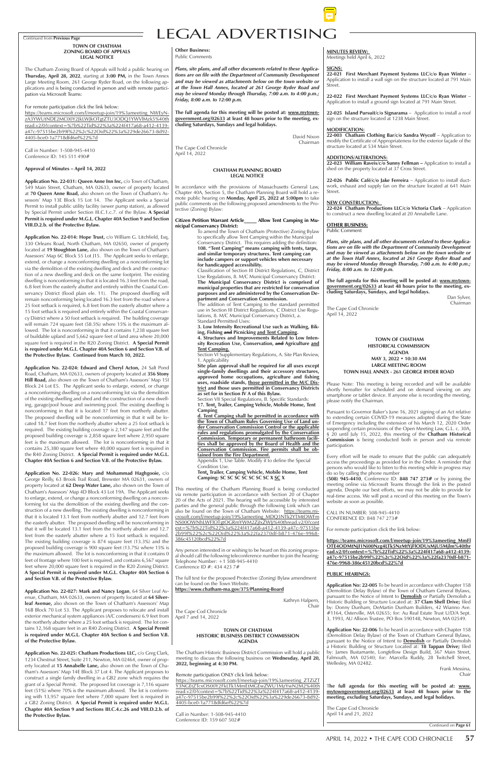# Continued from **Previous Page** LEGAL ADVERTISING

#### **CHATHAM PLANNING BOARD LEGAL NOTICE**

**Citizen Petition Warrant Article\_\_\_\_\_ Allow Tent Camping in Municipal Conservancy District:**<br>To amend the Town of Chatham (Protective) Zoning Bylaw

In accordance with the provisions of Massachusetts General Law, Chapter 40A, Section 5, the Chatham Planning Board will hold a remote public hearing on **Monday, April 25, 2022 at 5:00pm** to take public comments on the following proposed amendments to the Protective (Zoning) Bylaw:

> To amend the Town of Chatham (Protective) Zoning Bylaw to specifically allow Tent Camping within the Municipal Conservancy District. This requires adding the definition: **108. "Tent Camping" means camping with tents, tarps, and similar temporary structures. Tent camping can include campers or support vehicles when necessary for handicapped accessibility.**

Site plan approval shall be required for all uses except **single-family dwellings and their accessory structures, approved home occupations, agriculture and fishing uses, roadside stands, those permitted in the M/C District and those uses permitted in Conservancy Districts as set for in Section IV A of this Bylaw.**

Classification of Section III District Regulations, C, District Use Regulations, 8. M/C Municipal Conservancy District: **The Municipal Conservancy District is comprised of municipal properties that are restricted for conservation purposes and are administered by the Conservation Department and Conservation Commission.**

Appendix 1, Use Table. Modify it to define the Special Condition Use.

The addition of Tent Camping to the standard permitted use in Section III District Regulations, C District Use Regulations, 8. M/C Municipal Conservancy District, a. Standard Permitted Uses:

This meeting of the Chatham Planning Board is being conducted via remote participation in accordance with Section 20 of Chapter 20 of the Acts of 2021. The hearing will be accessible by interested parties and the general public through the following Link which can parties and the general pastic an eagle of constant of the Senator of Chatham Website: https://teams.microsoft.com/l/meetup-join/19%3ameeting\_MDQ3NTk2YTMtOWFm NS00OWNhLWFlOTgtOGRmYWM2ZjIxZWJj%40thread.v2/0?cont ext=%7b%22Tid%22%3a%224f417a68-a412-4139-a47c-97515be 2b99f%22%2c%22Oid%22%3a%22fa2370df-b871-476e-9968- 386c45120bcd%22%7d

**3. Low Intensity Recreational Use such as Walking, Biking, Fishing and Picnicking and Tent Camping.**

**4. Structures and Improvements Related to Low Intensity Recreation Use, Conservation, and Agriculture and Tent Camping.**

Any person interested in or wishing to be heard on this zoning proposal should call the following teleconference number to join the hearing: Telephone Number: +1 508-945-4410 Conference  $ID \# 4344237#$ 

Section VI Supplementary Regulations, A. Site Plan Review, 1. Applicability

Section VII Special Regulations, B. Specific Standards:

**17. Tent, Trailer, Camping Vehicle, Mobile Home, Tent Camping**

**d. Tent Camping shall be permitted in accordance with the Town of Chatham Rules Governing Use of Land under Conservation Commission Control or the applicable rules and regulations promulgated by the Conservation Commission. Temporary or permanent bathroom facilities shall be approved by the Board of Health and the Conservation Commission. Fire permits shall be obtained from the Fire Department.**

**Tent, Trailer, Camping Vehicle, Mobile Home, Tent Camping: SC SC SC SC SC SC SC X SC X**

The full text for the proposed Protective (Zoning) Bylaw amendment can be found on the Town Website. **https://www.chatham-ma.gov/375/Planning-Board**

> Kathryn Halpern, Chair

The Cape Cod Chronicle April 7 and 14, 2022

# **TOWN OF CHATHAM HISTORICAL COMMISSION AGENDA MAY 3, 2022 • 10:30 AM LARGE MEETING ROOM TOWN HALL ANNEX - 261 GEORGE RYDER ROAD**

Please Note: This meeting is being recorded and will be available shortly hereafter for scheduled and on demand viewing on any smartphone or tablet device. If anyone else is recording the meeting, please notify the Chairman.

Pursuant to Governor Baker's June 16, 2021 signing of an Act relative to extending certain COVID-19 measures adopted during the State of Emergency including the extension of his March 12, 2020 Order suspending certain provisions of the Open Meeting Law, G.L. c. 30A, § 20 until July 15, 2022, this meeting of the **Chatham Historical Commission** is being conducted both in person and via remote participation.

Every effort will be made to ensure that the public can adequately access the proceedings as provided for in the Order. A reminder that persons who would like to listen to this meeting while in progress may do so by calling the phone number

**(508) 945-4410**, Conference ID: **848 747 273#** or by joining the meeting online via Microsoft Teams through the link in the posted agenda. Despite our best efforts, we may not be able to provide for real-time access. We will post a record of this meeting on the Town's website as soon as possible.

CALL IN NUMBER: 508-945-4410 CONFERENCE ID: 848 747 273#

For remote participation click the link below:

**https://teams.microsoft.com/l/meetup-join/19%3ameeting\_MmFl OTE4ODMtNjI1Ni00Nzg4LTk5NzMtYjFlODUxMjU5Mjlm%40thr ead.v2/0?context=%7b%22Tid%22%3a%224f417a68-a412-4139 a47c-97515be2b99f%22%2c%22Oid%22%3a%22fa2370df-b871-**

#### **476e-9968-386c45120bcd%22%7d**

### **PUBLIC HEARINGS:**

**Application No: 22-005** To be heard in accordance with Chapter 158 (Demolition Delay Bylaw) of the Town of Chatham General Bylaws, pursuant to the Notice of Intent to **Demolish** or Partially Demolish a Historic Building or Structure Located at: **37 Clam Shell Drive;** filed by: Donny Dunham, DeMartin Dunham Builders, 42 Wianno Ave. #1164, Osterville, MA 02655; for: Au Real Estate Trust U/D/A Sept. 3, 1993, AU Allison Trustee, PO Box 590148, Newton, MA 02549.

**Application No: 22-006** To be heard in accordance with Chapter 158 (Demolition Delay Bylaw) of the Town of Chatham General Bylaws, pursuant to the Notice of Intent to **Demolish** or Partially Demolish a Historic Building or Structure Located at: **18 Tappan Drive;** filed by: James Bustamante, Longfellow Design Build, 367 Main Street, Falmouth, MA 02540; for: Marcella Ruddy, 28 Twitchell Street, Wellesley, MA 02482.

 Frank Messina, Chair

T**he full agenda for this meeting will be posted at: www. mytowngovernment.org/02633 at least 48 hours prior to the meeting, excluding Saturdays, Sundays, and legal holidays.**

The Cape Cod Chronicle April 14 and 21, 2022

**TOWN OF CHATHAM ZONING BOARD OF APPEALS LEGAL NOTICE**

The Chatham Zoning Board of Appeals will hold a public hearing on **Thursday, April 28, 2022**, starting at **3:00 PM,** in the Town Annex Large Meeting Room, 261 George Ryder Road, on the following applications and is being conducted in person and with remote participation via Microsoft Teams:

For remote participation click the link below:

https://teams.microsoft.com/l/meetup-join/19%3ameeting\_NWEyNzA3YWUtNDE2MC00Y2JkLWJkOTgtZTU3ODQ1YWVlMzk5%40th read.v2/0?context=%7b%22Tid%22%3a%224f417a68-a412-4139 a47c-97515be2b99f%22%2c%22Oid%22%3a%229de26673-8d92- 4405-bce0-1a7718dfd6ef%22%7d

Call in Number: 1-508-945-4410 Conference ID: 145 511 490#

#### **Approval of Minutes – April 14, 2022**

22-003 Chatham Clothing Bar/c/o Sandra Wycoff - Application to modify the Certificate of Appropriateness for the exterior façade of the structure located at 534 Main Street.

**Application No. 22-031: Queen Anne Inn Inc,** c/o Town of Chatham, 549 Main Street, Chatham, MA 02633, owner of property located at **70 Queen Anne Road,** also shown on the Town of Chatham's Assessors' Map 13E Block 15 Lot 14. The Applicant seeks a Special Permit to install public utility facility (sewer pump station), as allowed by Special Permit under Section III.C.1.c.7. of the Bylaw. **A Special Permit is required under M.G.L. Chapter 40A Section 9 and Section VIII.D.2.b. of the Protective Bylaw.**

**Application No. 22-014: Hope Trust,** c/o William G. Litchfield, Esq, 330 Orleans Road, North Chatham, MA 02650, owner of property located at **19 Stoughton Lane,** also shown on the Town of Chatham's Assessors' Map 6C Block 55 Lot J15. The Applicant seeks to enlarge, extend, or change a nonconforming dwelling on a nonconforming lot via the demolition of the existing dwelling and deck and the construction of a new dwelling and deck on the same footprint. The existing dwelling is nonconforming in that it is located 16.3 feet from the road, 6.8 feet from the easterly abutter and entirely within the Coastal Conservancy District (flood plain ele. 11). The proposed dwelling will remain nonconforming being located 16.3 feet from the road where a 25 foot setback is required, 6.8 feet from the easterly abutter where a 15 foot setback is required and entirely within the Coastal Conservancy District where a 50 foot setback is required. The building coverage will remain 724 square feet (58.5%) where 15% is the maximum allowed. The lot is nonconforming in that it contains 1,238 square feet of buildable upland and 5,662 square feet of land area where 20,000 square feet is required in the R20 Zoning District. **A Special Permit is required under M.G.L. Chapter 40A Section 6 and Section V.B. of the Protective Bylaw. Continued from March 10, 2022.**

**Application No. 22-024: Edward and Cheryl Acton,** 24 Salt Pond Road, Chatham, MA 02633, owners of property located at **356 Stony Hill Road,** also shown on the Town of Chatham's Assessors' Map 15I Block 24 Lot E5. The Applicant seeks to enlarge, extend, or change a nonconforming dwelling on a nonconforming lot via the demolition of the existing dwelling and shed and the construction of a new dwelling, garage/pool house and swimming pool. The existing dwelling is nonconforming in that it is located 17 feet from northerly abutter. The proposed dwelling will be nonconforming in that it will be located 18.7 feet from the northerly abutter where a 25 foot setback is required. The existing building coverage is 2,147 square feet and the proposed building coverage is 2,858 square feet where 2,950 square feet is the maximum allowed. The lot is nonconforming in that it contains 25,380 square feet where 40,000 square feet is required in the R40 Zoning District. **A Special Permit is required under M.G.L. Chapter 40A Section 6 and Section V.B. of the Protective Bylaw.** 

**Application No. 22-026: Mary and Mohammad Haghgooie,** c/o George Reilly, 63 Brook Trail Road, Brewster MA 02631, owners of property located at **62 Deep Water Lane,** also shown on the Town of Chatham's Assessors' Map 4D Block 43 Lot 19A. The Applicant seeks to enlarge, extend, or change a nonconforming dwelling on a nonconforming lot via the demolition of the existing dwelling and the construction of a new dwelling. The existing dwelling is nonconforming in that it is located 13.1 feet from northerly abutter and 12.7 feet from the easterly abutter. The proposed dwelling will be nonconforming in that it will be located 13.1 feet from the northerly abutter and 12.7 feet from the easterly abutter where a 15 foot setback is required. The existing building coverage is 874 square feet (13.3%) and the proposed building coverage is 900 square feet (13.7%) where 15% is the maximum allowed. The lot is nonconforming in that it contains 0

feet of frontage where 100 feet is required, and contains 6,567 square feet where 20,000 square feet is required in the R20 Zoning District. **A Special Permit is required under M.G.L. Chapter 40A Section 6 and Section V.B. of the Protective Bylaw.** 

**Application No. 22-027: Mark and Nancy Logan**, 64 Silver Leaf Avenue, Chatham, MA 02633, owners of property located at **64 Silverleaf Avenue,** also shown on the Town of Chatham's Assessors' Map 16B Block 70 Lot 53. The Applicant proposes to relocate and install exterior mechanical system appliances (A/C condensers) 6.9 feet from the northerly abutter where a 25 foot setback is required. The lot contains 12,168 square feet in an R40 Zoning District. **A Special Permit is required under M.G.L. Chapter 40A Section 6 and Section V.B. of the Protective Bylaw.**

**Application No. 22-025: Chatham Productions LLC,** c/o Greg Clark, 1234 Chestnut Street, Suite 211, Newton, MA 02464, owner of property located at **15 Annabelle Lane,** also shown on the Town of Chatham's Assessors' Map 14E Block 37 Lot 4. The Applicant proposes to construct a single family dwelling in a GB2 zone which requires the grant of a Special Permit. The proposed lot coverage is 7,116 square feet (51%) where 70% is the maximum allowed. The lot is conforming with 13,957 square feet where 7,000 square feet is required in a GB2 Zoning District. **A Special Permit is required under M.G.L. Chapter 40A Section 9 and Sections III.C.4.c.26 and VIII.D.2.b. of the Protective Bylaw.**

#### **Other Business:** Public Comments

*Plans, site plans, and all other documents related to these Applications are on file with the Department of Community Development and may be viewed as attachments below on the town website or at the Town Hall Annex, located at 261 George Ryder Road and may be viewed Monday through Thursday, 7:00 a.m. to 4:00 p.m.; Friday, 8:00 a.m. to 12:00 p.m.*

**The full agenda for this meeting will be posted at: www.mytowngovernment.org/02633 at least 48 hours prior to the meeting, excluding Saturdays, Sundays and legal holidays.**

> David Nixon Chairman

The Cape Cod Chronicle April 14, 2022

# **TOWN OF CHATHAM HISTORIC BUSINESS DISTRICT COMMISSION AGENDA**

The Chatham Historic Business District Commission will hold a public meeting to discuss the following business on **Wednesday, April 20, 2022, beginning at 4:30 PM.**

Remote participation ONLY click link below: https://teams.microsoft.com/l/meetup-join/19%3ameeting\_ZTZiZT Y3NGEtZTcxOS00Y2FkLTk1MmEtMGEwZWU1MzYwN2M2%40th read.v2/0?context=%7b%22Tid%22%3a%224f417a68-a412-4139 a47c-97515be2b99f%22%2c%22Oid%22%3a%229de26673-8d92- 4405-bce0-1a7718dfd6ef%22%7d

Call in Number: 1-508-945-4410 Conference ID: 159 607 502#

# **MINUTES REVIEW:**

Meetings held April 6, 2022

#### **SIGNS:**

**22-021 First Merchant Payment Systems LLC/c/o Ryan Winter** – Application to install a wall sign on the structure located at 791 Main Street.

**22-022 First Merchant Payment Systems LLC/c/o Ryan Winter** – Application to install a ground sign located at 791 Main Street.

**22-025 Island Pursuit/c/o Signarama** – Application to install a roof sign on the structure located at 1238 Main Street.

# **MODIFICATION:**

# **ADDITIONS/ALTERATIONS:**

**22-023 William Raveis/c/o Sunny Fellman –** Application to install a shed on the property located at 37 Cross Street.

**22-026 Public Café/c/o Jake Ferreira** – Application to install ductwork, exhaust and supply fan on the structure located at 641 Main Street.

#### **NEW CONSTRUCTION:**

**22-024 Chatham Productions LLC/c/o Victoria Clark** – Application to construct a new dwelling located at 20 Annabelle Lane.

**OTHER BUSINESS:** Public Comment

*Plans, site plans, and all other documents related to these Applications are on file with the Department of Community Development and may be viewed as attachments below on the town website or at the Town Hall Annex, located at 261 George Ryder Road and may be viewed Monday through Thursday, 7:00 a.m. to 4:00 p.m.; Friday, 8:00 a.m. to 12:00 p.m.*

**The full agenda for this meeting will be posted at: www.mytowngovernment.org/02633 at least 48 hours prior to the meeting, excluding Saturdays, Sundays, and legal holidays.**

> Dan Sylver, Chairman

The Cape Cod Chronicle April 14, 2022

Continued on **Page 61**